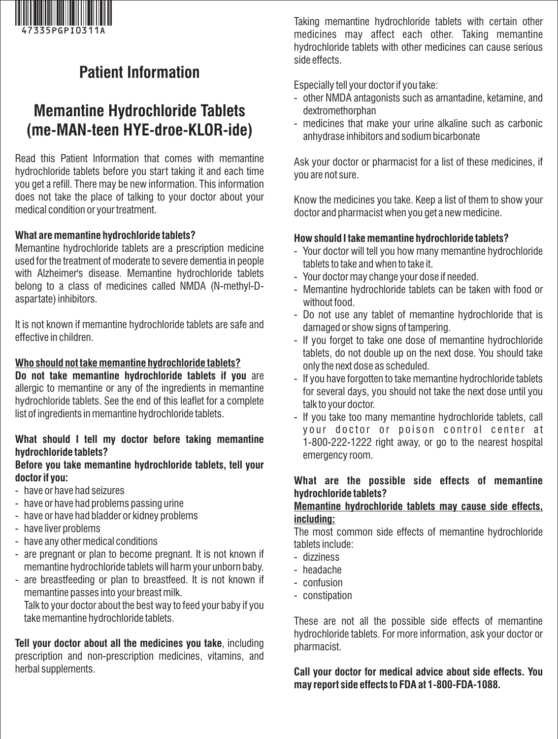

# **Patient Information**

# **Memantine Hydrochloride Tablets (me-MAN-teen HYE-droe-KLOR-ide)**

Read this Patient Information that comes with memantine hydrochloride tablets before you start taking it and each time you get a refill. There may be new information. This information does not take the place of talking to your doctor about your medical condition or your treatment.

#### **What are memantine hydrochloride tablets?**

Memantine hydrochloride tablets are a prescription medicine used for the treatment of moderate to severe dementia in people with Alzheimer's disease. Memantine hydrochloride tablets belong to a class of medicines called NMDA (N-methyl-Daspartate) inhibitors.

It is not known if memantine hydrochloride tablets are safe and effective in children.

#### **Who should not take memantine hydrochloride tablets?**

**Do not take memantine hydrochloride tablets if you** are allergic to memantine or any of the ingredients in memantine hydrochloride tablets. See the end of this leaflet for a complete list of ingredients in memantine hydrochloride tablets.

### **What should I tell my doctor before taking memantine hydrochloride tablets?**

## **Before you take memantine hydrochloride tablets, tell your doctor if you:**

- have or have had seizures
- have or have had problems passing urine
- have or have had bladder or kidney problems
- have liver problems
- have any other medical conditions
- are pregnant or plan to become pregnant. It is not known if memantine hydrochloride tablets will harm your unborn baby.
- are breastfeeding or plan to breastfeed. It is not known if memantine passes into your breast milk. Talk to your doctor about the best way to feed your baby if you take memantine hydrochloride tablets.

**Tell your doctor about all the medicines you take**, including prescription and non-prescription medicines, vitamins, and herbal supplements.

Taking memantine hydrochloride tablets with certain other medicines may affect each other. Taking memantine hydrochloride tablets with other medicines can cause serious side effects.

Especially tell your doctor if you take:

- other NMDA antagonists such as amantadine, ketamine, and dextromethorphan
- medicines that make your urine alkaline such as carbonic anhydrase inhibitors and sodium bicarbonate

Ask your doctor or pharmacist for a list of these medicines, if you are not sure.

Know the medicines you take. Keep a list of them to show your doctor and pharmacist when you get a new medicine.

### **How should I take memantine hydrochloride tablets?**

- Your doctor will tell you how many memantine hydrochloride tablets to take and when to take it.
- Your doctor may change your dose if needed.
- Memantine hydrochloride tablets can be taken with food or without food.
- Do not use any tablet of memantine hydrochloride that is damaged or show signs of tampering.
- If you forget to take one dose of memantine hydrochloride tablets, do not double up on the next dose. You should take only the next dose as scheduled.
- If you have forgotten to take memantine hydrochloride tablets for several days, you should not take the next dose until you talk to your doctor.
- If you take too many memantine hydrochloride tablets, call your doctor or poison control center at 1-800-222-1222 right away, or go to the nearest hospital emergency room.

### **What are the possible side effects of memantine hydrochloride tablets?**

### **Memantine hydrochloride tablets may cause side effects, including:**

The most common side effects of memantine hydrochloride tablets include:

- dizziness
- headache
- confusion
- constipation

These are not all the possible side effects of memantine hydrochloride tablets. For more information, ask your doctor or pharmacist.

**Call your doctor for medical advice about side effects. You may report side effects to FDA at 1-800-FDA-1088.**